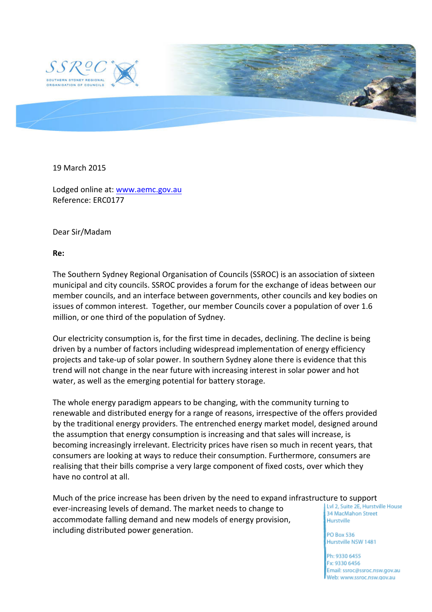

19 March 2015

Lodged online at: www.aemc.gov.au Reference: ERC0177

Dear Sir/Madam

**Re:** 

The Southern Sydney Regional Organisation of Councils (SSROC) is an association of sixteen municipal and city councils. SSROC provides a forum for the exchange of ideas between our member councils, and an interface between governments, other councils and key bodies on issues of common interest. Together, our member Councils cover a population of over 1.6 million, or one third of the population of Sydney.

Our electricity consumption is, for the first time in decades, declining. The decline is being driven by a number of factors including widespread implementation of energy efficiency projects and take-up of solar power. In southern Sydney alone there is evidence that this trend will not change in the near future with increasing interest in solar power and hot water, as well as the emerging potential for battery storage.

The whole energy paradigm appears to be changing, with the community turning to renewable and distributed energy for a range of reasons, irrespective of the offers provided by the traditional energy providers. The entrenched energy market model, designed around the assumption that energy consumption is increasing and that sales will increase, is becoming increasingly irrelevant. Electricity prices have risen so much in recent years, that consumers are looking at ways to reduce their consumption. Furthermore, consumers are realising that their bills comprise a very large component of fixed costs, over which they have no control at all.

Much of the price increase has been driven by the need to expand infrastructure to support<br>aver increasing loyals of demand The market needs to change to all the 2. Suite 25 Hurstville House ever-increasing levels of demand. The market needs to change to 34 MacMahon Street accommodate falling demand and new models of energy provision, Hurstville including distributed power generation.

**PO Box 536** Hurstville NSW 1481

Ph: 9330 6455 Fx: 9330 6456 Email: ssroc@ssroc.nsw.gov.au Web: www.ssroc.nsw.gov.au